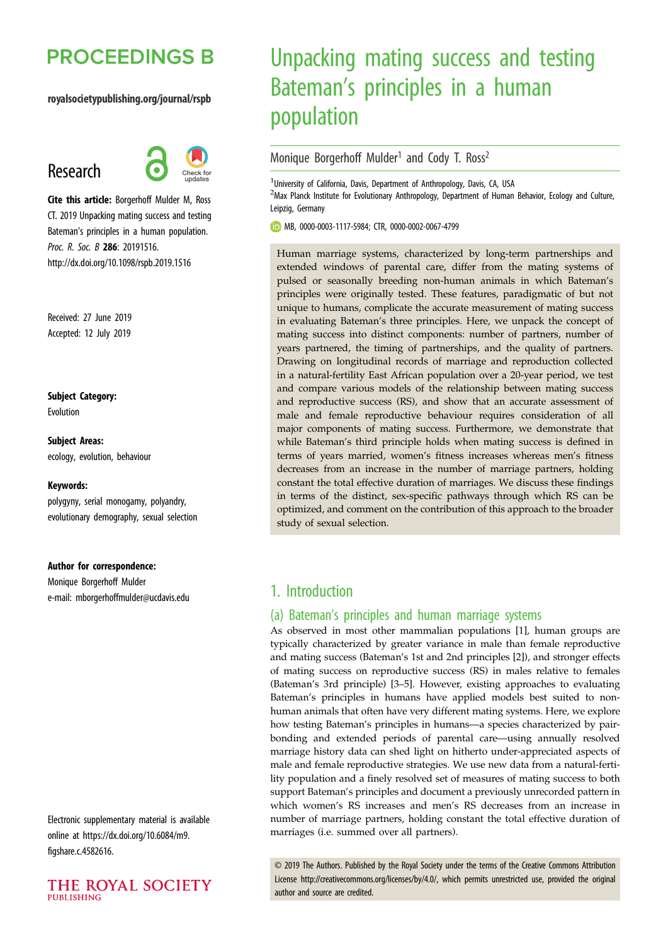# **PROCEEDINGS B**

#### royalsocietypublishing.org/journal/rspb

## Research



Cite this article: Borgerhoff Mulder M, Ross CT. 2019 Unpacking mating success and testing Bateman's principles in a human population. Proc. R. Soc. B 286: 20191516. http://dx.doi.org/10.1098/rspb.2019.1516

Received: 27 June 2019 Accepted: 12 July 2019

Subject Category:

Evolution

Subject Areas: ecology, evolution, behaviour

#### Keywords:

polygyny, serial monogamy, polyandry, evolutionary demography, sexual selection

#### Author for correspondence:

Monique Borgerhoff Mulder e-mail: [mborgerhoffmulder@ucdavis.edu](mailto:mborgerhoffmulder@ucdavis.edu)

Electronic supplementary material is available online at [https://dx.doi.org/10.6084/m9.](https://dx.doi.org/10.6084/m9.figshare.c.4582616) [figshare.c.4582616](https://dx.doi.org/10.6084/m9.figshare.c.4582616).



# Unpacking mating success and testing Bateman's principles in a human population

## Monique Borgerhoff Mulder<sup>1</sup> and Cody T. Ross<sup>2</sup>

<sup>1</sup>University of California, Davis, Department of Anthropology, Davis, CA, USA <sup>2</sup>Max Planck Institute for Evolutionary Anthropology, Department of Human Behavior, Ecology and Culture, Leipzig, Germany

MB, [0000-0003-1117-5984](http://orcid.org/0000-0003-1117-5984); CTR, [0000-0002-0067-4799](http://orcid.org/0000-0002-0067-4799)

Human marriage systems, characterized by long-term partnerships and extended windows of parental care, differ from the mating systems of pulsed or seasonally breeding non-human animals in which Bateman's principles were originally tested. These features, paradigmatic of but not unique to humans, complicate the accurate measurement of mating success in evaluating Bateman's three principles. Here, we unpack the concept of mating success into distinct components: number of partners, number of years partnered, the timing of partnerships, and the quality of partners. Drawing on longitudinal records of marriage and reproduction collected in a natural-fertility East African population over a 20-year period, we test and compare various models of the relationship between mating success and reproductive success (RS), and show that an accurate assessment of male and female reproductive behaviour requires consideration of all major components of mating success. Furthermore, we demonstrate that while Bateman's third principle holds when mating success is defined in terms of years married, women's fitness increases whereas men's fitness decreases from an increase in the number of marriage partners, holding constant the total effective duration of marriages. We discuss these findings in terms of the distinct, sex-specific pathways through which RS can be optimized, and comment on the contribution of this approach to the broader study of sexual selection.

## 1. Introduction

### (a) Bateman's principles and human marriage systems

As observed in most other mammalian populations [[1](#page-7-0)], human groups are typically characterized by greater variance in male than female reproductive and mating success (Bateman's 1st and 2nd principles [\[2\]](#page-7-0)), and stronger effects of mating success on reproductive success (RS) in males relative to females (Bateman's 3rd principle) [\[3](#page-7-0)–[5\]](#page-7-0). However, existing approaches to evaluating Bateman's principles in humans have applied models best suited to nonhuman animals that often have very different mating systems. Here, we explore how testing Bateman's principles in humans—a species characterized by pairbonding and extended periods of parental care—using annually resolved marriage history data can shed light on hitherto under-appreciated aspects of male and female reproductive strategies. We use new data from a natural-fertility population and a finely resolved set of measures of mating success to both support Bateman's principles and document a previously unrecorded pattern in which women's RS increases and men's RS decreases from an increase in number of marriage partners, holding constant the total effective duration of marriages (i.e. summed over all partners).

© 2019 The Authors. Published by the Royal Society under the terms of the Creative Commons Attribution License<http://creativecommons.org/licenses/by/4.0/>, which permits unrestricted use, provided the original author and source are credited.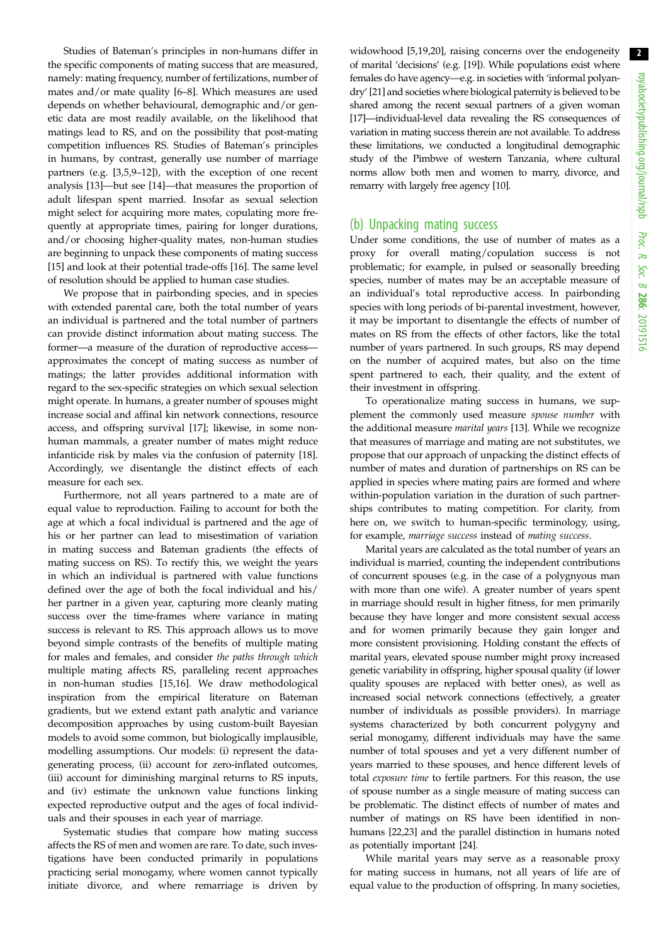Studies of Bateman's principles in non-humans differ in the specific components of mating success that are measured, namely: mating frequency, number of fertilizations, number of mates and/or mate quality [[6](#page-8-0)–[8](#page-8-0)]. Which measures are used depends on whether behavioural, demographic and/or genetic data are most readily available, on the likelihood that matings lead to RS, and on the possibility that post-mating competition influences RS. Studies of Bateman's principles in humans, by contrast, generally use number of marriage partners (e.g. [[3,5](#page-7-0)[,9](#page-8-0)–[12](#page-8-0)]), with the exception of one recent analysis [[13\]](#page-8-0)—but see [\[14](#page-8-0)]—that measures the proportion of adult lifespan spent married. Insofar as sexual selection might select for acquiring more mates, copulating more frequently at appropriate times, pairing for longer durations, and/or choosing higher-quality mates, non-human studies are beginning to unpack these components of mating success [\[15](#page-8-0)] and look at their potential trade-offs [\[16](#page-8-0)]. The same level of resolution should be applied to human case studies.

We propose that in pairbonding species, and in species with extended parental care, both the total number of years an individual is partnered and the total number of partners can provide distinct information about mating success. The former—a measure of the duration of reproductive access approximates the concept of mating success as number of matings; the latter provides additional information with regard to the sex-specific strategies on which sexual selection might operate. In humans, a greater number of spouses might increase social and affinal kin network connections, resource access, and offspring survival [[17\]](#page-8-0); likewise, in some nonhuman mammals, a greater number of mates might reduce infanticide risk by males via the confusion of paternity [\[18](#page-8-0)]. Accordingly, we disentangle the distinct effects of each measure for each sex.

Furthermore, not all years partnered to a mate are of equal value to reproduction. Failing to account for both the age at which a focal individual is partnered and the age of his or her partner can lead to misestimation of variation in mating success and Bateman gradients (the effects of mating success on RS). To rectify this, we weight the years in which an individual is partnered with value functions defined over the age of both the focal individual and his/ her partner in a given year, capturing more cleanly mating success over the time-frames where variance in mating success is relevant to RS. This approach allows us to move beyond simple contrasts of the benefits of multiple mating for males and females, and consider the paths through which multiple mating affects RS, paralleling recent approaches in non-human studies [\[15,16](#page-8-0)]. We draw methodological inspiration from the empirical literature on Bateman gradients, but we extend extant path analytic and variance decomposition approaches by using custom-built Bayesian models to avoid some common, but biologically implausible, modelling assumptions. Our models: (i) represent the datagenerating process, (ii) account for zero-inflated outcomes, (iii) account for diminishing marginal returns to RS inputs, and (iv) estimate the unknown value functions linking expected reproductive output and the ages of focal individuals and their spouses in each year of marriage.

Systematic studies that compare how mating success affects the RS of men and women are rare. To date, such investigations have been conducted primarily in populations practicing serial monogamy, where women cannot typically initiate divorce, and where remarriage is driven by widowhood [[5](#page-7-0),[19,20\]](#page-8-0), raising concerns over the endogeneity of marital 'decisions' (e.g. [\[19\]](#page-8-0)). While populations exist where females do have agency—e.g. in societies with 'informal polyandry' [\[21\]](#page-8-0) and societies where biological paternity is believed to be shared among the recent sexual partners of a given woman [[17](#page-8-0)]—individual-level data revealing the RS consequences of variation in mating success therein are not available. To address these limitations, we conducted a longitudinal demographic study of the Pimbwe of western Tanzania, where cultural norms allow both men and women to marry, divorce, and remarry with largely free agency [\[10\]](#page-8-0).

#### (b) Unpacking mating success

Under some conditions, the use of number of mates as a proxy for overall mating/copulation success is not problematic; for example, in pulsed or seasonally breeding species, number of mates may be an acceptable measure of an individual's total reproductive access. In pairbonding species with long periods of bi-parental investment, however, it may be important to disentangle the effects of number of mates on RS from the effects of other factors, like the total number of years partnered. In such groups, RS may depend on the number of acquired mates, but also on the time spent partnered to each, their quality, and the extent of their investment in offspring.

To operationalize mating success in humans, we supplement the commonly used measure spouse number with the additional measure marital years [\[13](#page-8-0)]. While we recognize that measures of marriage and mating are not substitutes, we propose that our approach of unpacking the distinct effects of number of mates and duration of partnerships on RS can be applied in species where mating pairs are formed and where within-population variation in the duration of such partnerships contributes to mating competition. For clarity, from here on, we switch to human-specific terminology, using, for example, marriage success instead of mating success.

Marital years are calculated as the total number of years an individual is married, counting the independent contributions of concurrent spouses (e.g. in the case of a polygnyous man with more than one wife). A greater number of years spent in marriage should result in higher fitness, for men primarily because they have longer and more consistent sexual access and for women primarily because they gain longer and more consistent provisioning. Holding constant the effects of marital years, elevated spouse number might proxy increased genetic variability in offspring, higher spousal quality (if lower quality spouses are replaced with better ones), as well as increased social network connections (effectively, a greater number of individuals as possible providers). In marriage systems characterized by both concurrent polygyny and serial monogamy, different individuals may have the same number of total spouses and yet a very different number of years married to these spouses, and hence different levels of total exposure time to fertile partners. For this reason, the use of spouse number as a single measure of mating success can be problematic. The distinct effects of number of mates and number of matings on RS have been identified in nonhumans [\[22,23](#page-8-0)] and the parallel distinction in humans noted as potentially important [\[24](#page-8-0)].

While marital years may serve as a reasonable proxy for mating success in humans, not all years of life are of equal value to the production of offspring. In many societies,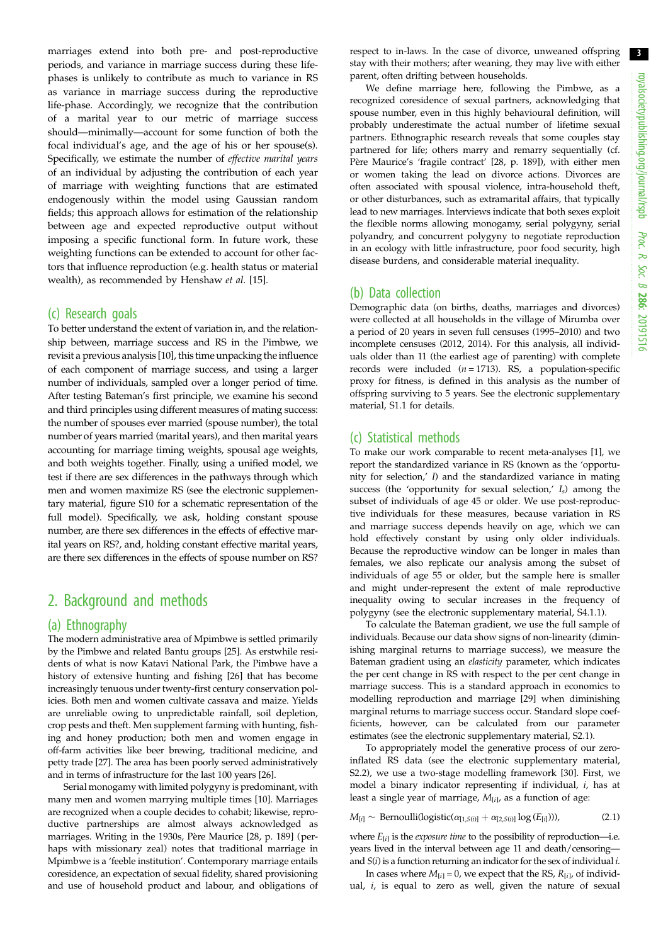marriages extend into both pre- and post-reproductive periods, and variance in marriage success during these lifephases is unlikely to contribute as much to variance in RS as variance in marriage success during the reproductive life-phase. Accordingly, we recognize that the contribution of a marital year to our metric of marriage success should—minimally—account for some function of both the focal individual's age, and the age of his or her spouse(s). Specifically, we estimate the number of effective marital years of an individual by adjusting the contribution of each year of marriage with weighting functions that are estimated endogenously within the model using Gaussian random fields; this approach allows for estimation of the relationship between age and expected reproductive output without imposing a specific functional form. In future work, these weighting functions can be extended to account for other factors that influence reproduction (e.g. health status or material wealth), as recommended by Henshaw et al. [\[15](#page-8-0)].

#### (c) Research goals

To better understand the extent of variation in, and the relationship between, marriage success and RS in the Pimbwe, we revisit a previous analysis [\[10](#page-8-0)], this time unpacking the influence of each component of marriage success, and using a larger number of individuals, sampled over a longer period of time. After testing Bateman's first principle, we examine his second and third principles using different measures of mating success: the number of spouses ever married (spouse number), the total number of years married (marital years), and then marital years accounting for marriage timing weights, spousal age weights, and both weights together. Finally, using a unified model, we test if there are sex differences in the pathways through which men and women maximize RS (see the electronic supplementary material, figure S10 for a schematic representation of the full model). Specifically, we ask, holding constant spouse number, are there sex differences in the effects of effective marital years on RS?, and, holding constant effective marital years, are there sex differences in the effects of spouse number on RS?

## 2. Background and methods

#### (a) Ethnography

The modern administrative area of Mpimbwe is settled primarily by the Pimbwe and related Bantu groups [\[25\]](#page-8-0). As erstwhile residents of what is now Katavi National Park, the Pimbwe have a history of extensive hunting and fishing [\[26\]](#page-8-0) that has become increasingly tenuous under twenty-first century conservation policies. Both men and women cultivate cassava and maize. Yields are unreliable owing to unpredictable rainfall, soil depletion, crop pests and theft. Men supplement farming with hunting, fishing and honey production; both men and women engage in off-farm activities like beer brewing, traditional medicine, and petty trade [[27\]](#page-8-0). The area has been poorly served administratively and in terms of infrastructure for the last 100 years [\[26](#page-8-0)].

Serial monogamy with limited polygyny is predominant, with many men and women marrying multiple times [[10](#page-8-0)]. Marriages are recognized when a couple decides to cohabit; likewise, reproductive partnerships are almost always acknowledged as marriages. Writing in the 1930s, Père Maurice [\[28,](#page-8-0) p. 189] (perhaps with missionary zeal) notes that traditional marriage in Mpimbwe is a 'feeble institution'. Contemporary marriage entails coresidence, an expectation of sexual fidelity, shared provisioning and use of household product and labour, and obligations of

respect to in-laws. In the case of divorce, unweaned offspring stay with their mothers; after weaning, they may live with either parent, often drifting between households.

We define marriage here, following the Pimbwe, as a recognized coresidence of sexual partners, acknowledging that spouse number, even in this highly behavioural definition, will probably underestimate the actual number of lifetime sexual partners. Ethnographic research reveals that some couples stay partnered for life; others marry and remarry sequentially (cf. Père Maurice's 'fragile contract' [\[28,](#page-8-0) p. 189]), with either men or women taking the lead on divorce actions. Divorces are often associated with spousal violence, intra-household theft, or other disturbances, such as extramarital affairs, that typically lead to new marriages. Interviews indicate that both sexes exploit the flexible norms allowing monogamy, serial polygyny, serial polyandry, and concurrent polygyny to negotiate reproduction in an ecology with little infrastructure, poor food security, high disease burdens, and considerable material inequality.

#### (b) Data collection

Demographic data (on births, deaths, marriages and divorces) were collected at all households in the village of Mirumba over a period of 20 years in seven full censuses (1995–2010) and two incomplete censuses (2012, 2014). For this analysis, all individuals older than 11 (the earliest age of parenting) with complete records were included  $(n = 1713)$ . RS, a population-specific proxy for fitness, is defined in this analysis as the number of offspring surviving to 5 years. See the electronic supplementary material, S1.1 for details.

#### (c) Statistical methods

To make our work comparable to recent meta-analyses [\[1\]](#page-7-0), we report the standardized variance in RS (known as the 'opportunity for selection,' I) and the standardized variance in mating success (the 'opportunity for sexual selection,'  $I_s$ ) among the subset of individuals of age 45 or older. We use post-reproductive individuals for these measures, because variation in RS and marriage success depends heavily on age, which we can hold effectively constant by using only older individuals. Because the reproductive window can be longer in males than females, we also replicate our analysis among the subset of individuals of age 55 or older, but the sample here is smaller and might under-represent the extent of male reproductive inequality owing to secular increases in the frequency of polygyny (see the electronic supplementary material, S4.1.1).

To calculate the Bateman gradient, we use the full sample of individuals. Because our data show signs of non-linearity (diminishing marginal returns to marriage success), we measure the Bateman gradient using an elasticity parameter, which indicates the per cent change in RS with respect to the per cent change in marriage success. This is a standard approach in economics to modelling reproduction and marriage [[29](#page-8-0)] when diminishing marginal returns to marriage success occur. Standard slope coefficients, however, can be calculated from our parameter estimates (see the electronic supplementary material, S2.1).

To appropriately model the generative process of our zeroinflated RS data (see the electronic supplementary material, S2.2), we use a two-stage modelling framework [[30](#page-8-0)]. First, we model a binary indicator representing if individual, i, has at least a single year of marriage,  $M_{[i]}$ , as a function of age:

$$
M_{[i]} \sim \text{Bernoulli}(logistic(\alpha_{[1,S(i)]} + \alpha_{[2,S(i)]} \log(E_{[i]})))
$$
\n(2.1)

where  $E_{[i]}$  is the *exposure time* to the possibility of reproduction—i.e. years lived in the interval between age 11 and death/censoring and  $S(i)$  is a function returning an indicator for the sex of individual  $i$ .

In cases where  $M_{[i]} = 0$ , we expect that the RS,  $R_{[i]}$ , of individual, i, is equal to zero as well, given the nature of sexual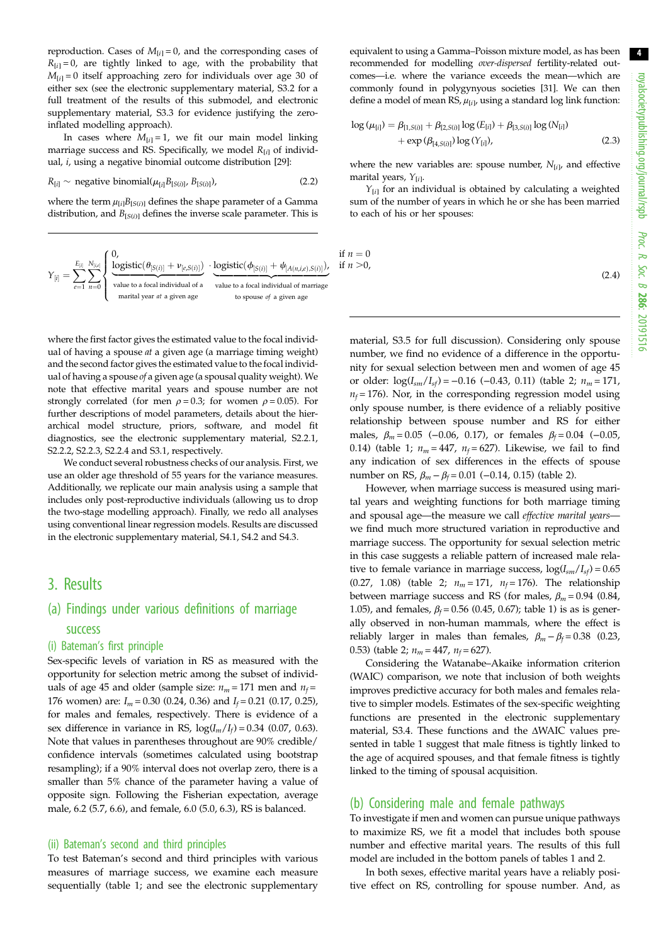reproduction. Cases of  $M_{[i]} = 0$ , and the corresponding cases of  $R_{[i]} = 0$ , are tightly linked to age, with the probability that  $M_{[i]} = 0$  itself approaching zero for individuals over age 30 of either sex (see the electronic supplementary material, S3.2 for a full treatment of the results of this submodel, and electronic supplementary material, S3.3 for evidence justifying the zeroinflated modelling approach).

In cases where  $M_{[i]} = 1$ , we fit our main model linking marriage success and RS. Specifically, we model  $R_{[i]}$  of individual, i, using a negative binomial outcome distribution [\[29](#page-8-0)]:

$$
R_{[i]} \sim \text{negative binomial}(\mu_{[i]} B_{[S(i)]}, B_{[S(i)]}), \tag{2.2}
$$

where the term  $\mu_{[i]}B_{[S(i)]}$  defines the shape parameter of a Gamma distribution, and  $B_{[S(i)]}$  defines the inverse scale parameter. This is

$$
Y_{[i]} = \sum_{e=1}^{E_{[i]}} \sum_{n=0}^{N_{[i,e]}} \begin{cases} 0, & \text{if } n = 0 \\ \frac{\text{logistic}(\theta_{[S(i)]} + \nu_{[e,S(i)]})}{\text{value to a focal individual of a}} \cdot \frac{\text{logistic}(\phi_{[S(i)]} + \psi_{[A(n,i,e),S(i)]})}{\text{value to a focal individual of marriage}} \text{if } n > 0, \\ \text{matrix year at a given age} & \text{to space} \end{cases}
$$

where the first factor gives the estimated value to the focal individual of having a spouse  $at$  a given age (a marriage timing weight) and the second factor gives the estimated value to the focal individual of having a spouse of a given age (a spousal quality weight). We note that effective marital years and spouse number are not strongly correlated (for men  $\rho = 0.3$ ; for women  $\rho = 0.05$ ). For further descriptions of model parameters, details about the hierarchical model structure, priors, software, and model fit diagnostics, see the electronic supplementary material, S2.2.1, S2.2.2, S2.2.3, S2.2.4 and S3.1, respectively.

We conduct several robustness checks of our analysis. First, we use an older age threshold of 55 years for the variance measures. Additionally, we replicate our main analysis using a sample that includes only post-reproductive individuals (allowing us to drop the two-stage modelling approach). Finally, we redo all analyses using conventional linear regression models. Results are discussed in the electronic supplementary material, S4.1, S4.2 and S4.3.

## 3. Results

## (a) Findings under various definitions of marriage success

#### (i) Bateman's first principle

Sex-specific levels of variation in RS as measured with the opportunity for selection metric among the subset of individuals of age 45 and older (sample size:  $n_m = 171$  men and  $n_f =$ 176 women) are:  $I_m = 0.30$  (0.24, 0.36) and  $I_f = 0.21$  (0.17, 0.25), for males and females, respectively. There is evidence of a sex difference in variance in RS,  $log(I_m/I_f) = 0.34$  (0.07, 0.63). Note that values in parentheses throughout are 90% credible/ confidence intervals (sometimes calculated using bootstrap resampling); if a 90% interval does not overlap zero, there is a smaller than 5% chance of the parameter having a value of opposite sign. Following the Fisherian expectation, average male, 6.2 (5.7, 6.6), and female, 6.0 (5.0, 6.3), RS is balanced.

#### (ii) Bateman's second and third principles

To test Bateman's second and third principles with various measures of marriage success, we examine each measure sequentially [\(table 1;](#page-4-0) and see the electronic supplementary equivalent to using a Gamma–Poisson mixture model, as has been recommended for modelling over-dispersed fertility-related outcomes—i.e. where the variance exceeds the mean—which are commonly found in polygynyous societies [[31\]](#page-8-0). We can then define a model of mean  $\text{RS}, \mu_{[i]}$ , using a standard log link function:

$$
\log (\mu_{[i]}) = \beta_{[1,S(i)]} + \beta_{[2,S(i)]} \log (E_{[i]}) + \beta_{[3,S(i)]} \log (N_{[i]})
$$
  
+ 
$$
\exp (\beta_{[4,S(i)]}) \log (Y_{[i]}),
$$
 (2.3)

where the new variables are: spouse number,  $N_{[i]}$ , and effective marital years,  $Y_{[i]}$ .

 $Y_{[i]}$  for an individual is obtained by calculating a weighted sum of the number of years in which he or she has been married to each of his or her spouses:

$$
(2.4)
$$

material, S3.5 for full discussion). Considering only spouse number, we find no evidence of a difference in the opportunity for sexual selection between men and women of age 45 or older:  $\log(I_{sm}/I_{sf}) = -0.16$  (-0.43, 0.11) [\(table 2;](#page-5-0)  $n_m = 171$ ,  $n_f$  = 176). Nor, in the corresponding regression model using only spouse number, is there evidence of a reliably positive relationship between spouse number and RS for either males,  $\beta_m = 0.05$  (-0.06, 0.17), or females  $\beta_f = 0.04$  (-0.05, 0.14) ([table 1;](#page-4-0)  $n_m = 447$ ,  $n_f = 627$ ). Likewise, we fail to find any indication of sex differences in the effects of spouse number on RS,  $β<sub>m</sub> − β<sub>f</sub> = 0.01 (-0.14, 0.15)$  [\(table 2\)](#page-5-0).

However, when marriage success is measured using marital years and weighting functions for both marriage timing and spousal age—the measure we call effective marital years we find much more structured variation in reproductive and marriage success. The opportunity for sexual selection metric in this case suggests a reliable pattern of increased male relative to female variance in marriage success,  $log(I_{sm}/I_{sf}) = 0.65$ (0.27, 1.08) [\(table 2](#page-5-0);  $n_m = 171$ ,  $n_f = 176$ ). The relationship between marriage success and RS (for males,  $\beta_m = 0.94$  (0.84, 1.05), and females,  $\beta_f = 0.56$  (0.45, 0.67); [table 1](#page-4-0)) is as is generally observed in non-human mammals, where the effect is reliably larger in males than females,  $\beta_m - \beta_f = 0.38$  (0.23, 0.53) ([table 2;](#page-5-0)  $n_m = 447$ ,  $n_f = 627$ ).

Considering the Watanabe–Akaike information criterion (WAIC) comparison, we note that inclusion of both weights improves predictive accuracy for both males and females relative to simpler models. Estimates of the sex-specific weighting functions are presented in the electronic supplementary material, S3.4. These functions and the ΔWAIC values presented in [table 1](#page-4-0) suggest that male fitness is tightly linked to the age of acquired spouses, and that female fitness is tightly linked to the timing of spousal acquisition.

#### (b) Considering male and female pathways

To investigate if men and women can pursue unique pathways to maximize RS, we fit a model that includes both spouse number and effective marital years. The results of this full model are included in the bottom panels of tables [1](#page-4-0) and [2](#page-5-0).

In both sexes, effective marital years have a reliably positive effect on RS, controlling for spouse number. And, as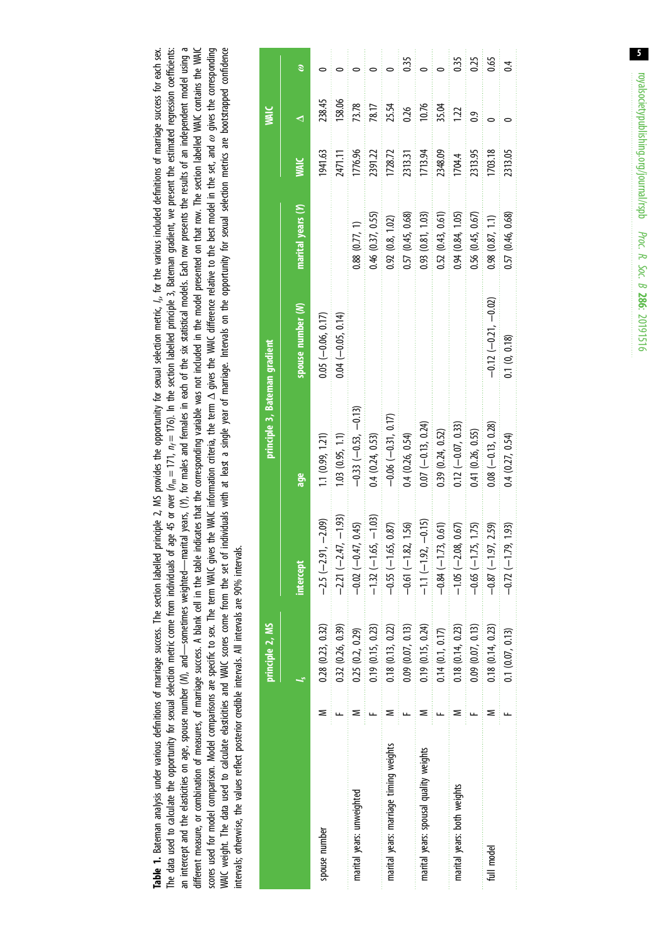<span id="page-4-0"></span>an intercept and the elasticities on age, spouse number (M), and—sometimes weighted—marital years, (Y), for males and females in each of the six statistical models. Each row presents the results of an independent model usi The data used to calculate the opportunity for sexual selection metric come from individuals of age 45 or over  $(n_m = 171, n_f = 176)$ . In the section labelled principle 3, Bateman gradient, we present the estimated regression scores used for model comparison. Model comparisons are specific to sex. The term WAIC information criteria, the term  $\Delta$  gives the WAIC difference relative to the best model in the set, and  $\omega$  gives the corresponding WAIC weight. The data used to calculate elasticities and WAIC scores come from the set of individuals with at least a single year of marriage. Intervals on the opportunity for sexual selection metrics are bootstrapped conf Table 1. Bateman analysis under various definitions of marriage success. The section labelled principle 2, MS provides the opportunity for sexual selection metric, 1,, for the various induded definitions of marriage succes Table 1. Bateman analysis under various of marriage success. The section labelled principle 2, MS provides the opportunity for sexual selection metric,  $l_s$  for the various induded definitions of marriage success for each The data used to calculate the opportunity for sexual selection metric come from individuals of age 45 or over  $(\eta_n=171,\ \eta_r=171,\ \eta_r=171,\ \eta_r=171,\ \eta_r=171,\ \eta_r=171,\ \eta_r=1710$  in the section dialection gradient, we present the an intercept and the elasticities on age, spouse number (V), and—sometimes weighted—marital years, (Y), for males and females in each of the six statistical models. Each row presents the results of an independent model usi different measure, or combination of measures, of marriage success. A blank cell in the table indicates that the corresponding variable was not included in the model presented on that row. The section labelled WAIC contain different measure, or combination of measures, of marriage success. A blank cell in the table indicates that the corresponding variable was not included in the model presented on that row. The section labelled WAIC contain WAIC weight. The data used to calculate elasticities and WAIC scores come from the set of individuals with at least a single year of marriage. Intervals on the opportunity for sexual selection metrics are bootstrapped conf scores used for model comparison. Model comparisons are specific to sex. The term WAIC gives the MAIC difference plative to the best model in the set, and  $\omega$  gives the corresponding intervals; otherwise, the values reflect posterior credible intervals. All intervals are 90% intervals. intervals; otherwise, the values reflect posterior credible intervals. All intervals are 90% intervals.

|                                        | principle 2, MS       |                           | principle 3, Bateman gradient |                        |                       |         |        |                |
|----------------------------------------|-----------------------|---------------------------|-------------------------------|------------------------|-----------------------|---------|--------|----------------|
|                                        |                       | intercept                 | age                           | spouse number (M)      | marital years (Y)     |         |        |                |
| spouse number                          | 0.28(0.23, 0.32)      | $-2.5$ $(-2.91, -2.09)$   | 1.1 (0.99, 1.21)              | $0.05$ $(-0.06, 0.17)$ |                       | 1941.63 | 238.45 |                |
|                                        | 0.32(0.26, 0.39)      | $-2.21(-2.47, -1.93)$     | 1.03(0.95, 1.1)               | $0.04 (-0.05, 0.14)$   |                       | 2471.11 | 158.06 |                |
| marital years: unweighted              | 0.25(0.2, 0.29)       | $-0.02$ $(-0.47, 0.45)$   | $-0.33$ $(-0.53, -0.13)$      |                        | 0.88(0.77, 1)         | 1776.96 | 73.78  |                |
|                                        | 0.19(0.15, 0.23)      | $-1.32(-1.65, -1.03)$     | 0.4(0.24, 0.53)               |                        | 0.46 (0.37, 0.55)     | 2391.22 | 78.17  |                |
| marital years: marriage timing weights | 0.18(0.13, 0.22)      | $-0.55 (-1.65, 0.87)$     | $-0.06 (-0.31, 0.17)$         |                        | 0.92(0.8, 1.02)       | 1728.72 | 25.54  |                |
|                                        | 0.09(0.07, 0.13)      | $-0.61(-1.82, 1.56)$      | 0.4(0.26, 0.54)               |                        | 0.57 (0.45, 0.68)     | 2313.31 | 0.26   | 0.35           |
| marital years: spousal quality weights | $0.19$ $(0.15, 0.24)$ | $-1.1(-1.92, -0.15)$      | $0.07 (-0.13, 0.24)$          |                        | 0.93(0.81, 1.03)      | 1713.94 | 10.76  |                |
|                                        | 0.14(0.1, 0.17)       | $-0.84$ ( $-1.73$ , 0.61) | 0.39(0.24, 0.52)              |                        | 0.52(0.43, 0.61)      | 2348.09 | 35.04  |                |
| marital years: both weights            | 0.18(0.14, 0.23)      | $-1.05$ $(-2.08, 0.67)$   | $0.12 (-0.07, 0.33)$          |                        | 0.94 (0.84, 1.05)     | 1704.4  | 122    | 0.35           |
|                                        | 0.09(0.07, 0.13)      | $-0.65$ ( $-1.75$ , 1.75) | 0.41 (0.26, 0.55)             |                        | $0.56$ $(0.45, 0.67)$ | 2313.95 | 03     | 0.25           |
| full model                             | 0.18(0.14, 0.23)      | $-0.87(-1.97, 2.59)$      | $0.08(-0.13, 0.28)$           | $-0.12(-0.21, -0.02)$  | 0.98(0.87, 1.1)       | 1703.18 |        | 0.65           |
|                                        | 0.1(0.07, 0.13)       | $-0.72(-1.79, 1.93)$      | 0.4(0.27, 0.54)               | 0.1(0, 0.18)           | 0.57 (0.46, 0.68)     | 2313.05 |        | $\overline{c}$ |

 $5<sup>7</sup>$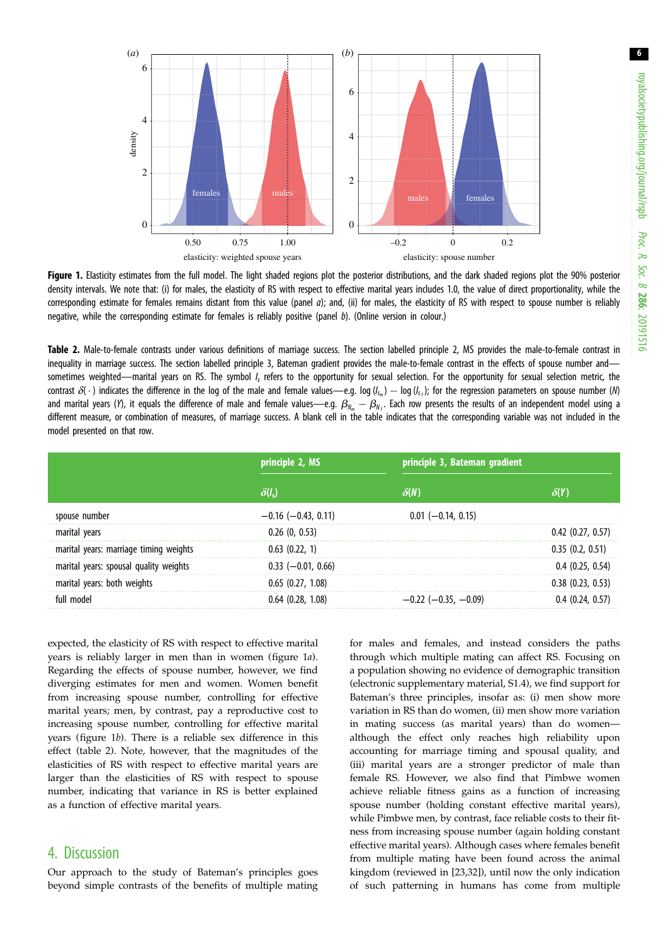<span id="page-5-0"></span>

Figure 1. Elasticity estimates from the full model. The light shaded regions plot the posterior distributions, and the dark shaded regions plot the 90% posterior density intervals. We note that: (i) for males, the elasticity of RS with respect to effective marital years includes 1.0, the value of direct proportionality, while the corresponding estimate for females remains distant from this value (panel  $a$ ); and, (ii) for males, the elasticity of RS with respect to spouse number is reliably negative, while the corresponding estimate for females is reliably positive (panel  $b$ ). (Online version in colour.)

Table 2. Male-to-female contrasts under various definitions of marriage success. The section labelled principle 2, MS provides the male-to-female contrast in inequality in marriage success. The section labelled principle 3, Bateman gradient provides the male-to-female contrast in the effects of spouse number andsometimes weighted—marital years on RS. The symbol /<sub>s</sub> refers to the opportunity for sexual selection. For the opportunity for sexual selection metric, the contrast  $\delta(\cdot)$  indicates the difference in the log of the male and female values—e.g. log  $(l_{s_m})$  – log  $(l_{s_n})$ ; for the regression parameters on spouse number (M) and marital years (Y), it equals the difference of male and female values—e.g.  $\beta_{N_m}-\beta_{N_f}$ . Each row presents the results of an independent model using a different measure, or combination of measures, of marriage success. A blank cell in the table indicates that the corresponding variable was not included in the model presented on that row.

|                                        | principle 2, MS           | principle 3, Bateman gradient |                     |
|----------------------------------------|---------------------------|-------------------------------|---------------------|
|                                        |                           | $\delta(N)$                   |                     |
| spouse number                          | $-0.16$ ( $-0.43$ , 0.11) | $0.01$ (-0.14, 0.15)          |                     |
| marital years                          | 0.26(0, 0.53)             |                               | $0.42$ (0.27, 0.57) |
| marital years: marriage timing weights | $0.63$ $(0.22, 1)$        |                               | 0.35(0.2, 0.51)     |
| marital years: spousal quality weights | $0.33$ (-0.01, 0.66)      |                               | 0.4(0.25, 0.54)     |
| marital years: both weights            | $0.65$ $(0.27, 1.08)$     |                               | 0.38 (0.23, 0.53)   |
| full model                             | 0.64(0.28, 1.08)          | $-0.22$ ( $-0.35$ , $-0.09$ ) |                     |

expected, the elasticity of RS with respect to effective marital years is reliably larger in men than in women (figure 1a). Regarding the effects of spouse number, however, we find diverging estimates for men and women. Women benefit from increasing spouse number, controlling for effective marital years; men, by contrast, pay a reproductive cost to increasing spouse number, controlling for effective marital years (figure 1b). There is a reliable sex difference in this effect (table 2). Note, however, that the magnitudes of the elasticities of RS with respect to effective marital years are larger than the elasticities of RS with respect to spouse number, indicating that variance in RS is better explained as a function of effective marital years.

## 4. Discussion

Our approach to the study of Bateman's principles goes beyond simple contrasts of the benefits of multiple mating for males and females, and instead considers the paths through which multiple mating can affect RS. Focusing on a population showing no evidence of demographic transition (electronic supplementary material, S1.4), we find support for Bateman's three principles, insofar as: (i) men show more variation in RS than do women, (ii) men show more variation in mating success (as marital years) than do women although the effect only reaches high reliability upon accounting for marriage timing and spousal quality, and (iii) marital years are a stronger predictor of male than female RS. However, we also find that Pimbwe women achieve reliable fitness gains as a function of increasing spouse number (holding constant effective marital years), while Pimbwe men, by contrast, face reliable costs to their fitness from increasing spouse number (again holding constant effective marital years). Although cases where females benefit from multiple mating have been found across the animal kingdom (reviewed in [[23,32\]](#page-8-0)), until now the only indication of such patterning in humans has come from multiple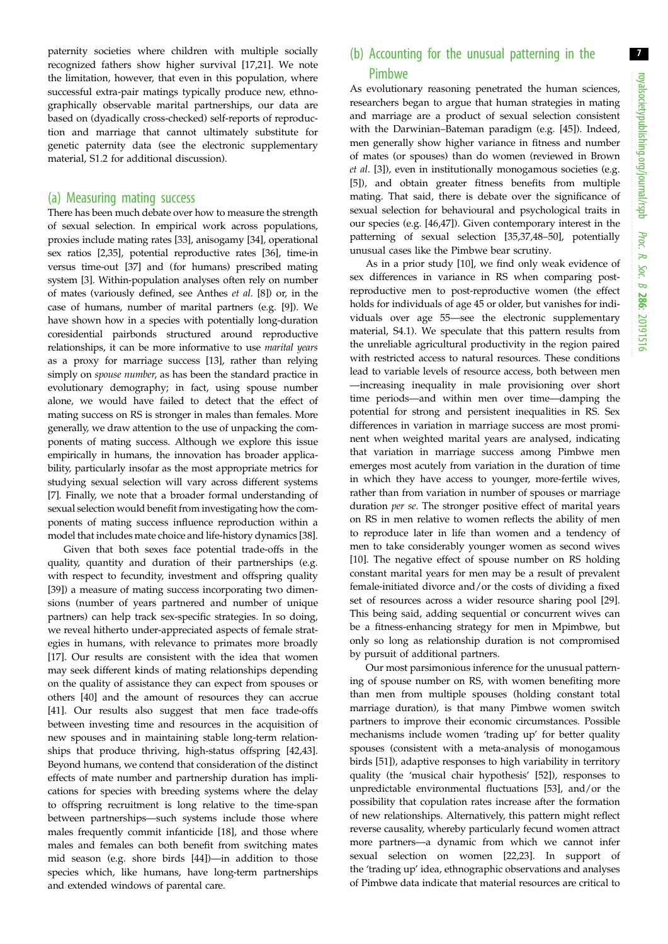paternity societies where children with multiple socially recognized fathers show higher survival [\[17](#page-8-0),[21\]](#page-8-0). We note the limitation, however, that even in this population, where successful extra-pair matings typically produce new, ethnographically observable marital partnerships, our data are based on (dyadically cross-checked) self-reports of reproduction and marriage that cannot ultimately substitute for genetic paternity data (see the electronic supplementary material, S1.2 for additional discussion).

#### (a) Measuring mating success

There has been much debate over how to measure the strength of sexual selection. In empirical work across populations, proxies include mating rates [\[33](#page-8-0)], anisogamy [\[34\]](#page-8-0), operational sex ratios [[2](#page-7-0)[,35](#page-8-0)], potential reproductive rates [\[36](#page-8-0)], time-in versus time-out [\[37\]](#page-8-0) and (for humans) prescribed mating system [\[3\]](#page-7-0). Within-population analyses often rely on number of mates (variously defined, see Anthes et al. [\[8\]](#page-8-0)) or, in the case of humans, number of marital partners (e.g. [[9](#page-8-0)]). We have shown how in a species with potentially long-duration coresidential pairbonds structured around reproductive relationships, it can be more informative to use marital years as a proxy for marriage success [\[13](#page-8-0)], rather than relying simply on *spouse number*, as has been the standard practice in evolutionary demography; in fact, using spouse number alone, we would have failed to detect that the effect of mating success on RS is stronger in males than females. More generally, we draw attention to the use of unpacking the components of mating success. Although we explore this issue empirically in humans, the innovation has broader applicability, particularly insofar as the most appropriate metrics for studying sexual selection will vary across different systems [\[7\]](#page-8-0). Finally, we note that a broader formal understanding of sexual selection would benefit from investigating how the components of mating success influence reproduction within a model that includes mate choice and life-history dynamics [[38](#page-8-0)].

Given that both sexes face potential trade-offs in the quality, quantity and duration of their partnerships (e.g. with respect to fecundity, investment and offspring quality [\[39](#page-8-0)]) a measure of mating success incorporating two dimensions (number of years partnered and number of unique partners) can help track sex-specific strategies. In so doing, we reveal hitherto under-appreciated aspects of female strategies in humans, with relevance to primates more broadly [\[17](#page-8-0)]. Our results are consistent with the idea that women may seek different kinds of mating relationships depending on the quality of assistance they can expect from spouses or others [[40\]](#page-8-0) and the amount of resources they can accrue [\[41](#page-8-0)]. Our results also suggest that men face trade-offs between investing time and resources in the acquisition of new spouses and in maintaining stable long-term relationships that produce thriving, high-status offspring [\[42,43](#page-8-0)]. Beyond humans, we contend that consideration of the distinct effects of mate number and partnership duration has implications for species with breeding systems where the delay to offspring recruitment is long relative to the time-span between partnerships—such systems include those where males frequently commit infanticide [[18\]](#page-8-0), and those where males and females can both benefit from switching mates mid season (e.g. shore birds [\[44](#page-8-0)])—in addition to those species which, like humans, have long-term partnerships and extended windows of parental care.

## (b) Accounting for the unusual patterning in the Pimbwe

As evolutionary reasoning penetrated the human sciences, researchers began to argue that human strategies in mating and marriage are a product of sexual selection consistent with the Darwinian–Bateman paradigm (e.g. [[45\]](#page-8-0)). Indeed, men generally show higher variance in fitness and number of mates (or spouses) than do women (reviewed in Brown et al. [\[3\]](#page-7-0)), even in institutionally monogamous societies (e.g. [[5](#page-7-0)]), and obtain greater fitness benefits from multiple mating. That said, there is debate over the significance of sexual selection for behavioural and psychological traits in our species (e.g. [[46,47\]](#page-8-0)). Given contemporary interest in the patterning of sexual selection [[35,37,48](#page-8-0)–[50\]](#page-8-0), potentially unusual cases like the Pimbwe bear scrutiny.

As in a prior study [\[10](#page-8-0)], we find only weak evidence of sex differences in variance in RS when comparing postreproductive men to post-reproductive women (the effect holds for individuals of age 45 or older, but vanishes for individuals over age 55—see the electronic supplementary material, S4.1). We speculate that this pattern results from the unreliable agricultural productivity in the region paired with restricted access to natural resources. These conditions lead to variable levels of resource access, both between men —increasing inequality in male provisioning over short time periods—and within men over time—damping the potential for strong and persistent inequalities in RS. Sex differences in variation in marriage success are most prominent when weighted marital years are analysed, indicating that variation in marriage success among Pimbwe men emerges most acutely from variation in the duration of time in which they have access to younger, more-fertile wives, rather than from variation in number of spouses or marriage duration per se. The stronger positive effect of marital years on RS in men relative to women reflects the ability of men to reproduce later in life than women and a tendency of men to take considerably younger women as second wives [[10\]](#page-8-0). The negative effect of spouse number on RS holding constant marital years for men may be a result of prevalent female-initiated divorce and/or the costs of dividing a fixed set of resources across a wider resource sharing pool [[29\]](#page-8-0). This being said, adding sequential or concurrent wives can be a fitness-enhancing strategy for men in Mpimbwe, but only so long as relationship duration is not compromised by pursuit of additional partners.

Our most parsimonious inference for the unusual patterning of spouse number on RS, with women benefiting more than men from multiple spouses (holding constant total marriage duration), is that many Pimbwe women switch partners to improve their economic circumstances. Possible mechanisms include women 'trading up' for better quality spouses (consistent with a meta-analysis of monogamous birds [[51\]](#page-8-0)), adaptive responses to high variability in territory quality (the 'musical chair hypothesis' [[52\]](#page-8-0)), responses to unpredictable environmental fluctuations [[53\]](#page-8-0), and/or the possibility that copulation rates increase after the formation of new relationships. Alternatively, this pattern might reflect reverse causality, whereby particularly fecund women attract more partners—a dynamic from which we cannot infer sexual selection on women [[22,23\]](#page-8-0). In support of the 'trading up' idea, ethnographic observations and analyses of Pimbwe data indicate that material resources are critical to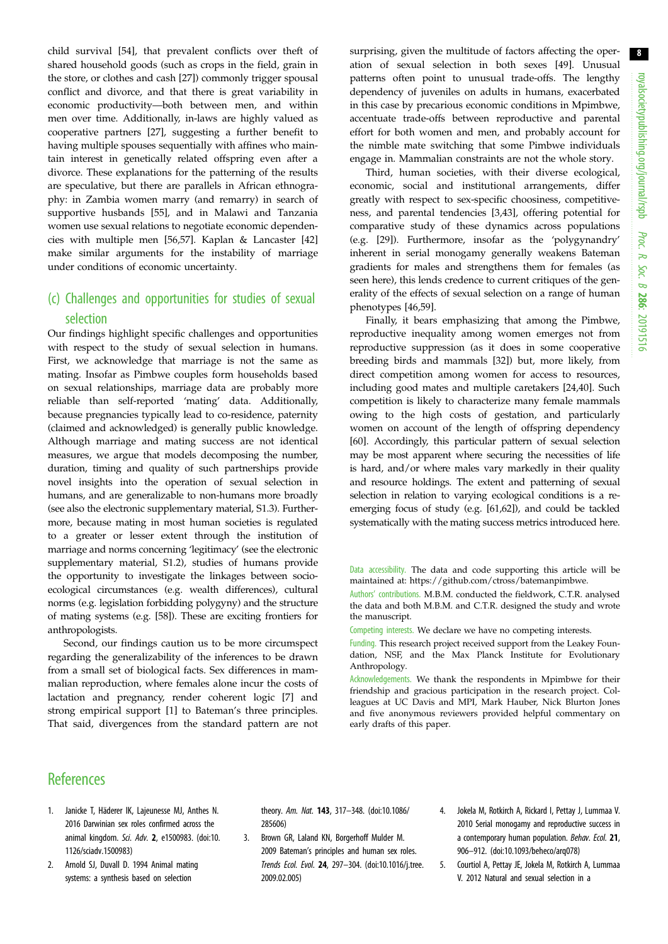<span id="page-7-0"></span>child survival [\[54](#page-8-0)], that prevalent conflicts over theft of shared household goods (such as crops in the field, grain in the store, or clothes and cash [\[27](#page-8-0)]) commonly trigger spousal conflict and divorce, and that there is great variability in economic productivity—both between men, and within men over time. Additionally, in-laws are highly valued as cooperative partners [\[27](#page-8-0)], suggesting a further benefit to having multiple spouses sequentially with affines who maintain interest in genetically related offspring even after a divorce. These explanations for the patterning of the results are speculative, but there are parallels in African ethnography: in Zambia women marry (and remarry) in search of supportive husbands [\[55](#page-8-0)], and in Malawi and Tanzania women use sexual relations to negotiate economic dependencies with multiple men [\[56](#page-8-0),[57\]](#page-9-0). Kaplan & Lancaster [[42\]](#page-8-0) make similar arguments for the instability of marriage under conditions of economic uncertainty.

## (c) Challenges and opportunities for studies of sexual selection

Our findings highlight specific challenges and opportunities with respect to the study of sexual selection in humans. First, we acknowledge that marriage is not the same as mating. Insofar as Pimbwe couples form households based on sexual relationships, marriage data are probably more reliable than self-reported 'mating' data. Additionally, because pregnancies typically lead to co-residence, paternity (claimed and acknowledged) is generally public knowledge. Although marriage and mating success are not identical measures, we argue that models decomposing the number, duration, timing and quality of such partnerships provide novel insights into the operation of sexual selection in humans, and are generalizable to non-humans more broadly (see also the electronic supplementary material, S1.3). Furthermore, because mating in most human societies is regulated to a greater or lesser extent through the institution of marriage and norms concerning 'legitimacy' (see the electronic supplementary material, S1.2), studies of humans provide the opportunity to investigate the linkages between socioecological circumstances (e.g. wealth differences), cultural norms (e.g. legislation forbidding polygyny) and the structure of mating systems (e.g. [\[58\]](#page-9-0)). These are exciting frontiers for anthropologists.

Second, our findings caution us to be more circumspect regarding the generalizability of the inferences to be drawn from a small set of biological facts. Sex differences in mammalian reproduction, where females alone incur the costs of lactation and pregnancy, render coherent logic [\[7\]](#page-8-0) and strong empirical support [1] to Bateman's three principles. That said, divergences from the standard pattern are not surprising, given the multitude of factors affecting the operation of sexual selection in both sexes [[49\]](#page-8-0). Unusual patterns often point to unusual trade-offs. The lengthy dependency of juveniles on adults in humans, exacerbated in this case by precarious economic conditions in Mpimbwe, accentuate trade-offs between reproductive and parental effort for both women and men, and probably account for the nimble mate switching that some Pimbwe individuals engage in. Mammalian constraints are not the whole story.

Third, human societies, with their diverse ecological, economic, social and institutional arrangements, differ greatly with respect to sex-specific choosiness, competitiveness, and parental tendencies [3,[43\]](#page-8-0), offering potential for comparative study of these dynamics across populations (e.g. [[29\]](#page-8-0)). Furthermore, insofar as the 'polygynandry' inherent in serial monogamy generally weakens Bateman gradients for males and strengthens them for females (as seen here), this lends credence to current critiques of the generality of the effects of sexual selection on a range of human phenotypes [[46,](#page-8-0)[59\]](#page-9-0).

Finally, it bears emphasizing that among the Pimbwe, reproductive inequality among women emerges not from reproductive suppression (as it does in some cooperative breeding birds and mammals [\[32](#page-8-0)]) but, more likely, from direct competition among women for access to resources, including good mates and multiple caretakers [[24,40\]](#page-8-0). Such competition is likely to characterize many female mammals owing to the high costs of gestation, and particularly women on account of the length of offspring dependency [[60\]](#page-9-0). Accordingly, this particular pattern of sexual selection may be most apparent where securing the necessities of life is hard, and/or where males vary markedly in their quality and resource holdings. The extent and patterning of sexual selection in relation to varying ecological conditions is a reemerging focus of study (e.g. [[61,62](#page-9-0)]), and could be tackled systematically with the mating success metrics introduced here.

Data accessibility. The data and code supporting this article will be maintained at: [https://github.com/ctross/batemanpimbwe.](https://github.com/ctross/batemanpimbwe)

Authors' contributions. M.B.M. conducted the fieldwork, C.T.R. analysed the data and both M.B.M. and C.T.R. designed the study and wrote the manuscript.

Competing interests. We declare we have no competing interests.

Funding. This research project received support from the Leakey Foundation, NSF, and the Max Planck Institute for Evolutionary Anthropology.

Acknowledgements. We thank the respondents in Mpimbwe for their friendship and gracious participation in the research project. Colleagues at UC Davis and MPI, Mark Hauber, Nick Blurton Jones and five anonymous reviewers provided helpful commentary on early drafts of this paper.

## **References**

- 1. Janicke T, Häderer IK, Lajeunesse MJ, Anthes N. 2016 Darwinian sex roles confirmed across the animal kingdom. Sci. Adv. 2, e1500983. ([doi:10.](http://dx.doi.org/10.1126/sciadv.1500983) [1126/sciadv.1500983\)](http://dx.doi.org/10.1126/sciadv.1500983)
- 2. Arnold SJ, Duvall D. 1994 Animal mating systems: a synthesis based on selection

theory. Am. Nat. 143, 317–348. [\(doi:10.1086/](http://dx.doi.org/10.1086/285606) [285606](http://dx.doi.org/10.1086/285606))

- 3. Brown GR, Laland KN, Borgerhoff Mulder M. 2009 Bateman's principles and human sex roles. Trends Ecol. Evol. 24, 297–304. ([doi:10.1016/j.tree.](http://dx.doi.org/10.1016/j.tree.2009.02.005) [2009.02.005\)](http://dx.doi.org/10.1016/j.tree.2009.02.005)
- 4. Jokela M, Rotkirch A, Rickard I, Pettay J, Lummaa V. 2010 Serial monogamy and reproductive success in a contemporary human population. Behav. Ecol. 21, 906–912. [\(doi:10.1093/beheco/arq078\)](http://dx.doi.org/10.1093/beheco/arq078)
- 5. Courtiol A, Pettay JE, Jokela M, Rotkirch A, Lummaa V. 2012 Natural and sexual selection in a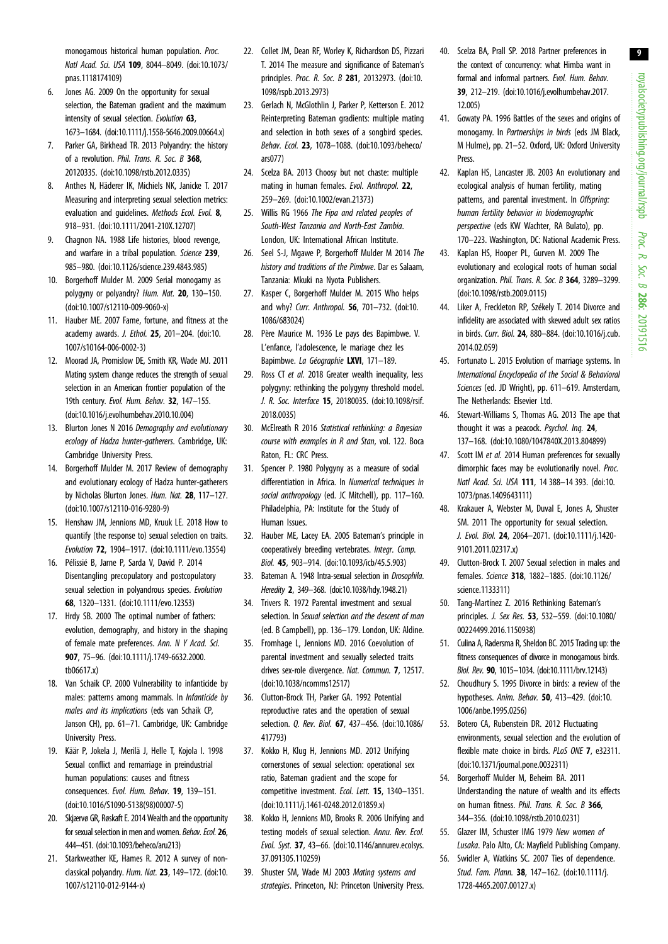<span id="page-8-0"></span>monogamous historical human population. Proc. Natl Acad. Sci. USA 109, 8044–8049. ([doi:10.1073/](http://dx.doi.org/10.1073/pnas.1118174109) [pnas.1118174109](http://dx.doi.org/10.1073/pnas.1118174109))

- 6. Jones AG. 2009 On the opportunity for sexual selection, the Bateman gradient and the maximum intensity of sexual selection. Evolution 63, 1673–1684. ([doi:10.1111/j.1558-5646.2009.00664.x](http://dx.doi.org/10.1111/j.1558-5646.2009.00664.x))
- 7. Parker GA, Birkhead TR. 2013 Polyandry: the history of a revolution. Phil. Trans. R. Soc. B 368, 20120335. [\(doi:10.1098/rstb.2012.0335](http://dx.doi.org/10.1098/rstb.2012.0335))
- 8. Anthes N, Häderer IK, Michiels NK, Janicke T. 2017 Measuring and interpreting sexual selection metrics: evaluation and guidelines. Methods Ecol. Evol. 8, 918–931. ([doi:10.1111/2041-210X.12707](http://dx.doi.org/10.1111/2041-210X.12707))
- 9. Chagnon NA. 1988 Life histories, blood revenge, and warfare in a tribal population. Science 239, 985–980. ([doi:10.1126/science.239.4843.985](http://dx.doi.org/10.1126/science.239.4843.985))
- 10. Borgerhoff Mulder M. 2009 Serial monogamy as polygyny or polyandry? Hum. Nat. 20, 130–150. [\(doi:10.1007/s12110-009-9060-x](http://dx.doi.org/10.1007/s12110-009-9060-x))
- 11. Hauber ME. 2007 Fame, fortune, and fitness at the academy awards. J. Ethol. 25, 201–204. [\(doi:10.](http://dx.doi.org/10.1007/s10164-006-0002-3) [1007/s10164-006-0002-3\)](http://dx.doi.org/10.1007/s10164-006-0002-3)
- 12. Moorad JA, Promislow DE, Smith KR, Wade MJ. 2011 Mating system change reduces the strength of sexual selection in an American frontier population of the 19th century. Evol. Hum. Behav. 32, 147-155. [\(doi:10.1016/j.evolhumbehav.2010.10.004](http://dx.doi.org/10.1016/j.evolhumbehav.2010.10.004))
- 13. Blurton Jones N 2016 Demoaraphy and evolutionary ecology of Hadza hunter-gatherers. Cambridge, UK: Cambridge University Press.
- 14. Borgerhoff Mulder M. 2017 Review of demography and evolutionary ecology of Hadza hunter-gatherers by Nicholas Blurton Jones. Hum. Nat. 28, 117–127. [\(doi:10.1007/s12110-016-9280-9\)](http://dx.doi.org/10.1007/s12110-016-9280-9)
- 15. Henshaw JM, Jennions MD, Kruuk LE. 2018 How to quantify (the response to) sexual selection on traits. Evolution 72, 1904–1917. [\(doi:10.1111/evo.13554\)](http://dx.doi.org/10.1111/evo.13554)
- 16. Pélissié B, Jarne P, Sarda V, David P. 2014 Disentangling precopulatory and postcopulatory sexual selection in polyandrous species. Evolution 68, 1320–1331. ([doi:10.1111/evo.12353](http://dx.doi.org/10.1111/evo.12353))
- 17. Hrdy SB. 2000 The optimal number of fathers: evolution, demography, and history in the shaping of female mate preferences. Ann. N Y Acad. Sci. 907, 75–96. ([doi:10.1111/j.1749-6632.2000.](http://dx.doi.org/10.1111/j.1749-6632.2000.tb06617.x) [tb06617.x](http://dx.doi.org/10.1111/j.1749-6632.2000.tb06617.x))
- 18. Van Schaik CP. 2000 Vulnerability to infanticide by males: patterns among mammals. In Infanticide by males and its implications (eds van Schaik CP, Janson CH), pp. 61–71. Cambridge, UK: Cambridge University Press.
- 19. Käär P, Jokela J, Merilä J, Helle T, Kojola I. 1998 Sexual conflict and remarriage in preindustrial human populations: causes and fitness consequences. Evol. Hum. Behav. 19, 139–151. [\(doi:10.1016/S1090-5138\(98\)00007-5](http://dx.doi.org/10.1016/S1090-5138(98)00007-5))
- 20. Skjærvø GR, Røskaft E. 2014 Wealth and the opportunity for sexual selection in men and women. Behav. Ecol. 26, 444–451. ([doi:10.1093/beheco/aru213](http://dx.doi.org/10.1093/beheco/aru213))
- 21. Starkweather KE, Hames R. 2012 A survey of nonclassical polyandry. Hum. Nat. 23, 149-172. ([doi:10.](http://dx.doi.org/10.1007/s12110-012-9144-x) [1007/s12110-012-9144-x](http://dx.doi.org/10.1007/s12110-012-9144-x))
- 22. Collet JM, Dean RF, Worley K, Richardson DS, Pizzari T. 2014 The measure and significance of Bateman's principles. Proc. R. Soc. B 281, 20132973. ([doi:10.](http://dx.doi.org/10.1098/rspb.2013.2973) [1098/rspb.2013.2973\)](http://dx.doi.org/10.1098/rspb.2013.2973)
- 23. Gerlach N, McGlothlin J, Parker P, Ketterson E. 2012 Reinterpreting Bateman gradients: multiple mating and selection in both sexes of a songbird species. Behav. Ecol. 23, 1078–1088. ([doi:10.1093/beheco/](http://dx.doi.org/10.1093/beheco/ars077) [ars077\)](http://dx.doi.org/10.1093/beheco/ars077)
- 24. Scelza BA. 2013 Choosy but not chaste: multiple mating in human females. Evol. Anthropol. 22, 259–269. ([doi:10.1002/evan.21373\)](http://dx.doi.org/10.1002/evan.21373)
- 25. Willis RG 1966 The Fipa and related peoples of South-West Tanzania and North-East Zambia. London, UK: International African Institute.
- 26. Seel S-J, Mgawe P, Borgerhoff Mulder M 2014 The history and traditions of the Pimbwe. Dar es Salaam, Tanzania: Mkuki na Nyota Publishers.
- 27. Kasper C, Borgerhoff Mulder M. 2015 Who helps and why? Curr. Anthropol. 56, 701–732. [\(doi:10.](http://dx.doi.org/10.1086/683024) [1086/683024](http://dx.doi.org/10.1086/683024))
- 28. Père Maurice M. 1936 Le pays des Bapimbwe. V. L'enfance, l'adolescence, le mariage chez les Bapimbwe. La Géographie LXVI, 171-189.
- 29. Ross CT et al. 2018 Greater wealth inequality, less polygyny: rethinking the polygyny threshold model. J. R. Soc. Interface 15, 20180035. [\(doi:10.1098/rsif.](http://dx.doi.org/10.1098/rsif.2018.0035) [2018.0035\)](http://dx.doi.org/10.1098/rsif.2018.0035)
- 30. McElreath R 2016 Statistical rethinking: a Bayesian course with examples in R and Stan, vol. 122. Boca Raton, FL: CRC Press.
- 31. Spencer P. 1980 Polygyny as a measure of social differentiation in Africa. In Numerical techniques in social anthropology (ed. JC Mitchell), pp. 117–160. Philadelphia, PA: Institute for the Study of Human Issues.
- 32. Hauber ME, Lacey EA. 2005 Bateman's principle in cooperatively breeding vertebrates. Integr. Comp. Biol. 45, 903–914. ([doi:10.1093/icb/45.5.903\)](http://dx.doi.org/10.1093/icb/45.5.903)
- 33. Bateman A. 1948 Intra-sexual selection in *Drosophila*. Heredity 2, 349–368. ([doi:10.1038/hdy.1948.21\)](http://dx.doi.org/10.1038/hdy.1948.21)
- 34. Trivers R. 1972 Parental investment and sexual selection. In Sexual selection and the descent of man (ed. B Campbell), pp. 136–179. London, UK: Aldine.
- 35. Fromhage L, Jennions MD. 2016 Coevolution of parental investment and sexually selected traits drives sex-role divergence. Nat. Commun. 7, 12517. [\(doi:10.1038/ncomms12517\)](http://dx.doi.org/10.1038/ncomms12517)
- 36. Clutton-Brock TH, Parker GA. 1992 Potential reproductive rates and the operation of sexual selection. Q. Rev. Biol. 67, 437–456. ([doi:10.1086/](http://dx.doi.org/10.1086/417793) [417793](http://dx.doi.org/10.1086/417793))
- 37. Kokko H, Klug H, Jennions MD. 2012 Unifying cornerstones of sexual selection: operational sex ratio, Bateman gradient and the scope for competitive investment. Ecol. Lett. 15, 1340–1351. [\(doi:10.1111/j.1461-0248.2012.01859.x\)](http://dx.doi.org/10.1111/j.1461-0248.2012.01859.x)
- 38. Kokko H, Jennions MD, Brooks R. 2006 Unifying and testing models of sexual selection. Annu. Rev. Ecol. Evol. Syst. 37, 43–66. [\(doi:10.1146/annurev.ecolsys.](http://dx.doi.org/10.1146/annurev.ecolsys.37.091305.110259) [37.091305.110259\)](http://dx.doi.org/10.1146/annurev.ecolsys.37.091305.110259)
- 39. Shuster SM, Wade MJ 2003 Mating systems and strategies. Princeton, NJ: Princeton University Press.
- 40. Scelza BA, Prall SP. 2018 Partner preferences in the context of concurrency: what Himba want in formal and informal partners. Evol. Hum. Behav. 39, 212–219. [\(doi:10.1016/j.evolhumbehav.2017.](http://dx.doi.org/10.1016/j.evolhumbehav.2017.12.005) [12.005\)](http://dx.doi.org/10.1016/j.evolhumbehav.2017.12.005)
- 41. Gowaty PA. 1996 Battles of the sexes and origins of monogamy. In Partnerships in birds (eds JM Black, M Hulme), pp. 21–52. Oxford, UK: Oxford University Press.
- 42. Kaplan HS, Lancaster JB. 2003 An evolutionary and ecological analysis of human fertility, mating patterns, and parental investment. In Offspring: human fertility behavior in biodemographic perspective (eds KW Wachter, RA Bulato), pp. 170–223. Washington, DC: National Academic Press.
- 43. Kaplan HS, Hooper PL, Gurven M. 2009 The evolutionary and ecological roots of human social organization. Phil. Trans. R. Soc. B 364, 3289–3299. ([doi:10.1098/rstb.2009.0115](http://dx.doi.org/10.1098/rstb.2009.0115))
- 44. Liker A, Freckleton RP, Székely T. 2014 Divorce and infidelity are associated with skewed adult sex ratios in birds. Curr. Biol. 24, 880–884. [\(doi:10.1016/j.cub.](http://dx.doi.org/10.1016/j.cub.2014.02.059) [2014.02.059](http://dx.doi.org/10.1016/j.cub.2014.02.059))
- 45. Fortunato L. 2015 Evolution of marriage systems. In International Encyclopedia of the Social & Behavioral Sciences (ed. JD Wright), pp. 611–619. Amsterdam, The Netherlands: Elsevier Ltd.
- 46. Stewart-Williams S, Thomas AG. 2013 The ape that thought it was a peacock. Psychol. Ing. 24, 137–168. [\(doi:10.1080/1047840X.2013.804899](http://dx.doi.org/10.1080/1047840X.2013.804899))
- 47. Scott IM et al. 2014 Human preferences for sexually dimorphic faces may be evolutionarily novel. Proc. Natl Acad. Sci. USA 111, 14 388–14 393. ([doi:10.](http://dx.doi.org/10.1073/pnas.1409643111) [1073/pnas.1409643111\)](http://dx.doi.org/10.1073/pnas.1409643111)
- 48. Krakauer A, Webster M, Duval E, Jones A, Shuster SM. 2011 The opportunity for sexual selection. J. Evol. Biol. 24, 2064–2071. [\(doi:10.1111/j.1420-](http://dx.doi.org/10.1111/j.1420-9101.2011.02317.x) [9101.2011.02317.x\)](http://dx.doi.org/10.1111/j.1420-9101.2011.02317.x)
- 49. Clutton-Brock T. 2007 Sexual selection in males and females. Science 318, 1882–1885. [\(doi:10.1126/](http://dx.doi.org/10.1126/science.1133311) [science.1133311](http://dx.doi.org/10.1126/science.1133311))
- 50. Tang-Martínez Z. 2016 Rethinking Bateman's principles. J. Sex Res. 53, 532–559. [\(doi:10.1080/](http://dx.doi.org/10.1080/00224499.2016.1150938) [00224499.2016.1150938](http://dx.doi.org/10.1080/00224499.2016.1150938))
- 51. Culina A, Radersma R, Sheldon BC. 2015 Trading up: the fitness consequences of divorce in monogamous birds. Biol. Rev. 90, 1015–1034. ([doi:10.1111/brv.12143](http://dx.doi.org/10.1111/brv.12143))
- 52. Choudhury S. 1995 Divorce in birds: a review of the hypotheses. Anim. Behav. 50, 413–429. ([doi:10.](http://dx.doi.org/10.1006/anbe.1995.0256) [1006/anbe.1995.0256](http://dx.doi.org/10.1006/anbe.1995.0256))
- 53. Botero CA, Rubenstein DR. 2012 Fluctuating environments, sexual selection and the evolution of flexible mate choice in birds. PLoS ONE 7, e32311. ([doi:10.1371/journal.pone.0032311](http://dx.doi.org/10.1371/journal.pone.0032311))
- 54. Borgerhoff Mulder M, Beheim BA. 2011 Understanding the nature of wealth and its effects on human fitness. Phil. Trans. R. Soc. B 366, 344–356. [\(doi:10.1098/rstb.2010.0231\)](http://dx.doi.org/10.1098/rstb.2010.0231)
- 55. Glazer IM, Schuster IMG 1979 New women of Lusaka. Palo Alto, CA: Mayfield Publishing Company.
- 56. Swidler A, Watkins SC. 2007 Ties of dependence. Stud. Fam. Plann. 38, 147–162. [\(doi:10.1111/j.](http://dx.doi.org/10.1111/j.1728-4465.2007.00127.x) [1728-4465.2007.00127.x\)](http://dx.doi.org/10.1111/j.1728-4465.2007.00127.x)